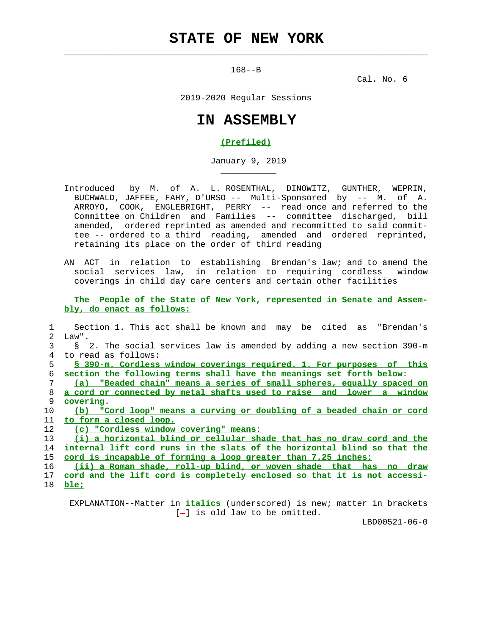168--B

 $\mathcal{L}_\text{max} = \frac{1}{2} \sum_{i=1}^{n} \frac{1}{2} \sum_{i=1}^{n} \frac{1}{2} \sum_{i=1}^{n} \frac{1}{2} \sum_{i=1}^{n} \frac{1}{2} \sum_{i=1}^{n} \frac{1}{2} \sum_{i=1}^{n} \frac{1}{2} \sum_{i=1}^{n} \frac{1}{2} \sum_{i=1}^{n} \frac{1}{2} \sum_{i=1}^{n} \frac{1}{2} \sum_{i=1}^{n} \frac{1}{2} \sum_{i=1}^{n} \frac{1}{2} \sum_{i=1}^{n} \frac{1$ 

\_\_\_\_\_\_\_\_\_\_\_

Cal. No. 6

2019-2020 Regular Sessions

## **IN ASSEMBLY**

## **(Prefiled)**

January 9, 2019

- Introduced by M. of A. L. ROSENTHAL, DINOWITZ, GUNTHER, WEPRIN, BUCHWALD, JAFFEE, FAHY, D'URSO -- Multi-Sponsored by -- M. of A. ARROYO, COOK, ENGLEBRIGHT, PERRY -- read once and referred to the Committee on Children and Families -- committee discharged, bill amended, ordered reprinted as amended and recommitted to said commit tee -- ordered to a third reading, amended and ordered reprinted, retaining its place on the order of third reading
- AN ACT in relation to establishing Brendan's law; and to amend the social services law, in relation to requiring cordless window coverings in child day care centers and certain other facilities

 **The People of the State of New York, represented in Senate and Assem bly, do enact as follows:**

|    | Section 1. This act shall be known and may be cited as "Brendan's        |
|----|--------------------------------------------------------------------------|
| 2  | Law".                                                                    |
|    | § 2. The social services law is amended by adding a new section 390-m    |
| 4  | to read as follows:                                                      |
| 5  | § 390-m. Cordless window coverings required. 1. For purposes of this     |
| 6  | section the following terms shall have the meanings set forth below:     |
|    | (a) "Beaded chain" means a series of small spheres, equally spaced on    |
| 8  | a cord or connected by metal shafts used to raise and lower a window     |
| 9  | covering.                                                                |
| 10 | (b) "Cord loop" means a curving or doubling of a beaded chain or cord    |
| 11 | to form a closed loop.                                                   |
| 12 | (c) "Cordless window covering" means:                                    |
| 13 | (i) a horizontal blind or cellular shade that has no draw cord and the   |
| 14 | internal lift cord runs in the slats of the horizontal blind so that the |
| 15 | cord is incapable of forming a loop greater than 7.25 inches;            |
| 16 | (ii) a Roman shade, roll-up blind, or woven shade that has no draw       |
| 17 | cord and the lift cord is completely enclosed so that it is not accessi- |
|    |                                                                          |

18 **ble;**

 EXPLANATION--Matter in **italics** (underscored) is new; matter in brackets [-] is old law to be omitted.

LBD00521-06-0